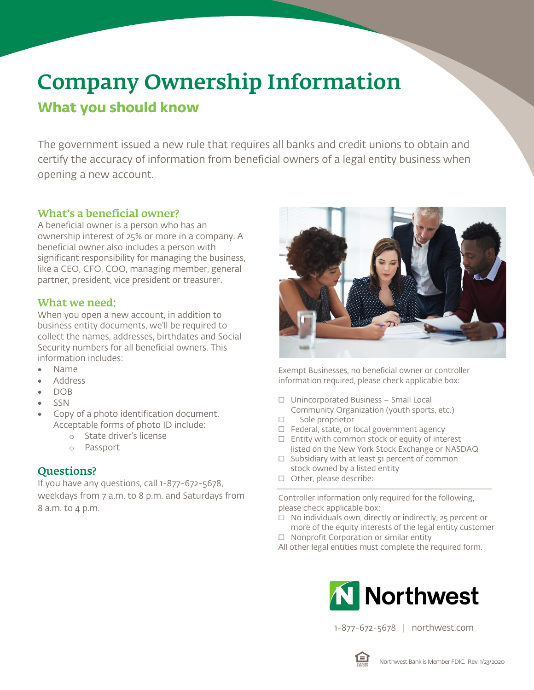# Company Ownership Information

## **What you should know**

The government issued a new rule that requires all banks and credit unions to obtain and certify the accuracy of information from beneficial owners of a legal entity business when opening a new account.

## What's a beneficial owner?

A beneficial owner is a person who has an ownership interest of 25% or more in a company. A beneficial owner also includes a person with significant responsibility for managing the business, like a CEO, CFO, COO, managing member, general partner, president, vice president or treasurer.

### What we need:

When you open a new account, in addition to business entity documents, we'll be required to collect the names, addresses, birthdates and Social Security numbers for all beneficial owners. This information includes:

- Name
- Address
- DOB
- SSN
- Copy of a photo identification document. Acceptable forms of photo ID include:
	- o State driver's license
	- o Passport

## Questions?

If you have any questions, call 1-877-672-5678, weekdays from 7 a.m. to 8 p.m. and Saturdays from 8 a.m. to 4 p.m.



Exempt Businesses, no beneficial owner or controller information required, please check applicable box:

- ☐ Unincorporated Business Small Local Community Organization (youth sports, etc.)
- ☐ Sole proprietor
- ☐ Federal, state, or local government agency
- ☐ Entity with common stock or equity of interest listed on the New York Stock Exchange or NASDAQ
- ☐ Subsidiary with at least 51 percent of common stock owned by a listed entity
- ☐ Other, please describe:

Controller information only required for the following, please check applicable box:

- ☐ No individuals own, directly or indirectly, 25 percent or more of the equity interests of the legal entity customer
- ☐ Nonprofit Corporation or similar entity

All other legal entities must complete the required form.



1-877-672-5678 | northwest.com

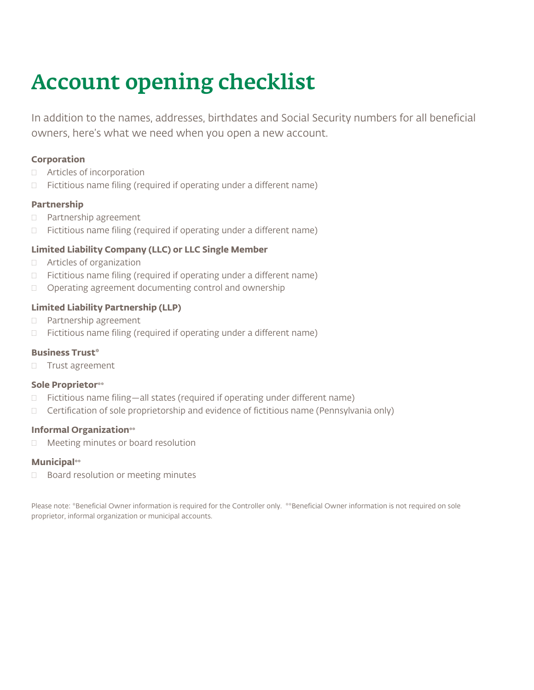## Account opening checklist

In addition to the names, addresses, birthdates and Social Security numbers for all beneficial owners, here's what we need when you open a new account.

#### **Corporation**

- Articles of incorporation
- $\Box$  Fictitious name filing (required if operating under a different name)

#### **Partnership**

- D Partnership agreement
- $\Box$  Fictitious name filing (required if operating under a different name)

#### **Limited Liability Company (LLC) or LLC Single Member**

- Articles of organization
- $\Box$  Fictitious name filing (required if operating under a different name)
- Operating agreement documenting control and ownership

#### **Limited Liability Partnership (LLP)**

- D Partnership agreement
- $\Box$  Fictitious name filing (required if operating under a different name)

#### **Business Trust\***

**Trust agreement** 

#### **Sole Proprietor\*\***

- □ Fictitious name filing—all states (required if operating under different name)
- $\Box$  Certification of sole proprietorship and evidence of fictitious name (Pennsylvania only)

#### **Informal Organization\*\***

□ Meeting minutes or board resolution

#### **Municipal\*\***

 $\Box$  Board resolution or meeting minutes

Please note: \*Beneficial Owner information is required for the Controller only. \*\*Beneficial Owner information is not required on sole proprietor, informal organization or municipal accounts.